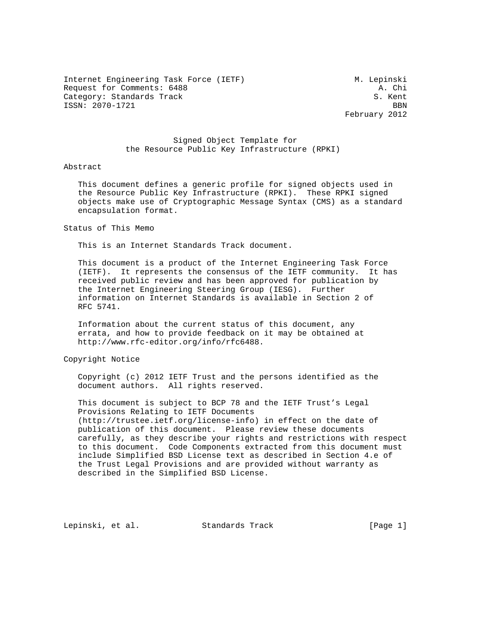Internet Engineering Task Force (IETF) M. Lepinski Request for Comments: 6488 A. Chi Category: Standards Track Services of the Superior S. Kent ISSN: 2070-1721 BBN

February 2012

### Signed Object Template for the Resource Public Key Infrastructure (RPKI)

### Abstract

 This document defines a generic profile for signed objects used in the Resource Public Key Infrastructure (RPKI). These RPKI signed objects make use of Cryptographic Message Syntax (CMS) as a standard encapsulation format.

Status of This Memo

This is an Internet Standards Track document.

 This document is a product of the Internet Engineering Task Force (IETF). It represents the consensus of the IETF community. It has received public review and has been approved for publication by the Internet Engineering Steering Group (IESG). Further information on Internet Standards is available in Section 2 of RFC 5741.

 Information about the current status of this document, any errata, and how to provide feedback on it may be obtained at http://www.rfc-editor.org/info/rfc6488.

Copyright Notice

 Copyright (c) 2012 IETF Trust and the persons identified as the document authors. All rights reserved.

 This document is subject to BCP 78 and the IETF Trust's Legal Provisions Relating to IETF Documents (http://trustee.ietf.org/license-info) in effect on the date of publication of this document. Please review these documents carefully, as they describe your rights and restrictions with respect to this document. Code Components extracted from this document must include Simplified BSD License text as described in Section 4.e of the Trust Legal Provisions and are provided without warranty as described in the Simplified BSD License.

Lepinski, et al. Standards Track [Page 1]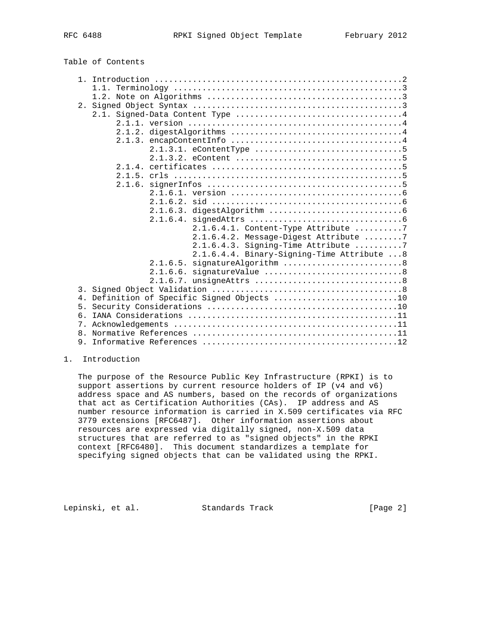## Table of Contents

|       | 1.1.                                       |
|-------|--------------------------------------------|
|       |                                            |
|       |                                            |
|       |                                            |
|       |                                            |
|       |                                            |
|       |                                            |
|       |                                            |
|       |                                            |
|       |                                            |
|       |                                            |
|       |                                            |
|       | 2.1.6.                                     |
|       |                                            |
|       |                                            |
|       |                                            |
|       |                                            |
|       | $2.1.6.4.1.$ Content-Type Attribute 7      |
|       | 2.1.6.4.2. Message-Digest Attribute 7      |
|       | $2.1.6.4.3.$ Signing-Time Attribute 7      |
|       | 2.1.6.4.4. Binary-Signing-Time Attribute 8 |
|       | signatureAlgorithm 8<br>2.1.6.5.           |
|       | signatureValue 8<br>2.1.6.6.               |
|       |                                            |
| 3.    |                                            |
| $4$ . | Definition of Specific Signed Objects 10   |
| 5.    |                                            |
| б.    |                                            |
| 7.    |                                            |
| 8.    |                                            |
| 9.    |                                            |

### 1. Introduction

 The purpose of the Resource Public Key Infrastructure (RPKI) is to support assertions by current resource holders of IP (v4 and v6) address space and AS numbers, based on the records of organizations that act as Certification Authorities (CAs). IP address and AS number resource information is carried in X.509 certificates via RFC 3779 extensions [RFC6487]. Other information assertions about resources are expressed via digitally signed, non-X.509 data structures that are referred to as "signed objects" in the RPKI context [RFC6480]. This document standardizes a template for specifying signed objects that can be validated using the RPKI.

Lepinski, et al. Standards Track [Page 2]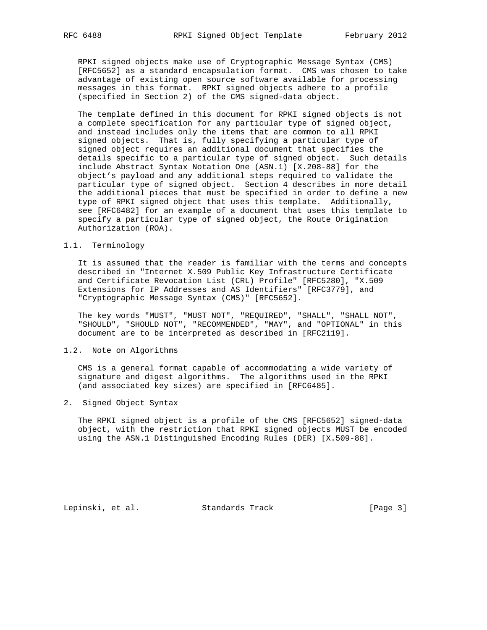RPKI signed objects make use of Cryptographic Message Syntax (CMS) [RFC5652] as a standard encapsulation format. CMS was chosen to take advantage of existing open source software available for processing messages in this format. RPKI signed objects adhere to a profile (specified in Section 2) of the CMS signed-data object.

 The template defined in this document for RPKI signed objects is not a complete specification for any particular type of signed object, and instead includes only the items that are common to all RPKI signed objects. That is, fully specifying a particular type of signed object requires an additional document that specifies the details specific to a particular type of signed object. Such details include Abstract Syntax Notation One (ASN.1) [X.208-88] for the object's payload and any additional steps required to validate the particular type of signed object. Section 4 describes in more detail the additional pieces that must be specified in order to define a new type of RPKI signed object that uses this template. Additionally, see [RFC6482] for an example of a document that uses this template to specify a particular type of signed object, the Route Origination Authorization (ROA).

### 1.1. Terminology

 It is assumed that the reader is familiar with the terms and concepts described in "Internet X.509 Public Key Infrastructure Certificate and Certificate Revocation List (CRL) Profile" [RFC5280], "X.509 Extensions for IP Addresses and AS Identifiers" [RFC3779], and "Cryptographic Message Syntax (CMS)" [RFC5652].

 The key words "MUST", "MUST NOT", "REQUIRED", "SHALL", "SHALL NOT", "SHOULD", "SHOULD NOT", "RECOMMENDED", "MAY", and "OPTIONAL" in this document are to be interpreted as described in [RFC2119].

### 1.2. Note on Algorithms

 CMS is a general format capable of accommodating a wide variety of signature and digest algorithms. The algorithms used in the RPKI (and associated key sizes) are specified in [RFC6485].

2. Signed Object Syntax

 The RPKI signed object is a profile of the CMS [RFC5652] signed-data object, with the restriction that RPKI signed objects MUST be encoded using the ASN.1 Distinguished Encoding Rules (DER) [X.509-88].

Lepinski, et al. Standards Track [Page 3]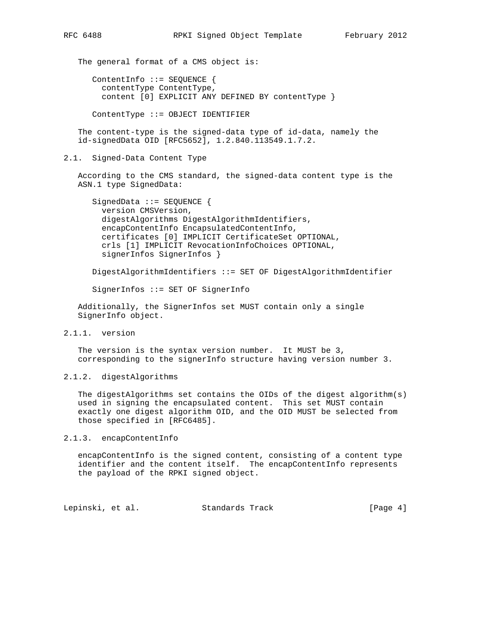The general format of a CMS object is:

 ContentInfo ::= SEQUENCE { contentType ContentType, content [0] EXPLICIT ANY DEFINED BY contentType }

ContentType ::= OBJECT IDENTIFIER

 The content-type is the signed-data type of id-data, namely the id-signedData OID [RFC5652], 1.2.840.113549.1.7.2.

### 2.1. Signed-Data Content Type

 According to the CMS standard, the signed-data content type is the ASN.1 type SignedData:

```
SignedData ::= SEQUENCE {
 version CMSVersion,
digestAlgorithms DigestAlgorithmIdentifiers,
 encapContentInfo EncapsulatedContentInfo,
certificates [0] IMPLICIT CertificateSet OPTIONAL,
 crls [1] IMPLICIT RevocationInfoChoices OPTIONAL,
signerInfos SignerInfos }
```
DigestAlgorithmIdentifiers ::= SET OF DigestAlgorithmIdentifier

SignerInfos ::= SET OF SignerInfo

 Additionally, the SignerInfos set MUST contain only a single SignerInfo object.

2.1.1. version

 The version is the syntax version number. It MUST be 3, corresponding to the signerInfo structure having version number 3.

2.1.2. digestAlgorithms

 The digestAlgorithms set contains the OIDs of the digest algorithm(s) used in signing the encapsulated content. This set MUST contain exactly one digest algorithm OID, and the OID MUST be selected from those specified in [RFC6485].

2.1.3. encapContentInfo

 encapContentInfo is the signed content, consisting of a content type identifier and the content itself. The encapContentInfo represents the payload of the RPKI signed object.

Lepinski, et al. Standards Track [Page 4]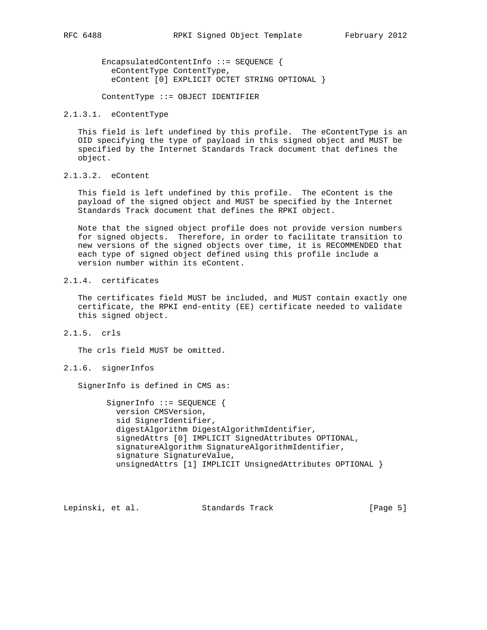EncapsulatedContentInfo ::= SEQUENCE { eContentType ContentType, eContent [0] EXPLICIT OCTET STRING OPTIONAL }

ContentType ::= OBJECT IDENTIFIER

#### 2.1.3.1. eContentType

 This field is left undefined by this profile. The eContentType is an OID specifying the type of payload in this signed object and MUST be specified by the Internet Standards Track document that defines the object.

2.1.3.2. eContent

 This field is left undefined by this profile. The eContent is the payload of the signed object and MUST be specified by the Internet Standards Track document that defines the RPKI object.

 Note that the signed object profile does not provide version numbers for signed objects. Therefore, in order to facilitate transition to new versions of the signed objects over time, it is RECOMMENDED that each type of signed object defined using this profile include a version number within its eContent.

## 2.1.4. certificates

 The certificates field MUST be included, and MUST contain exactly one certificate, the RPKI end-entity (EE) certificate needed to validate this signed object.

2.1.5. crls

The crls field MUST be omitted.

### 2.1.6. signerInfos

SignerInfo is defined in CMS as:

SignerInfo ::= SEQUENCE { version CMSVersion, sid SignerIdentifier, digestAlgorithm DigestAlgorithmIdentifier, signedAttrs [0] IMPLICIT SignedAttributes OPTIONAL, signatureAlgorithm SignatureAlgorithmIdentifier, signature SignatureValue, unsignedAttrs [1] IMPLICIT UnsignedAttributes OPTIONAL }

Lepinski, et al. Standards Track [Page 5]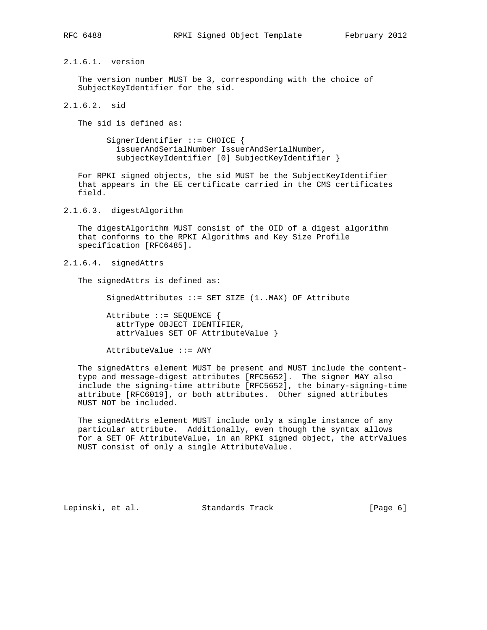2.1.6.1. version

 The version number MUST be 3, corresponding with the choice of SubjectKeyIdentifier for the sid.

2.1.6.2. sid

The sid is defined as:

SignerIdentifier ::= CHOICE { issuerAndSerialNumber IssuerAndSerialNumber, subjectKeyIdentifier [0] SubjectKeyIdentifier }

 For RPKI signed objects, the sid MUST be the SubjectKeyIdentifier that appears in the EE certificate carried in the CMS certificates field.

2.1.6.3. digestAlgorithm

 The digestAlgorithm MUST consist of the OID of a digest algorithm that conforms to the RPKI Algorithms and Key Size Profile specification [RFC6485].

2.1.6.4. signedAttrs

The signedAttrs is defined as:

SignedAttributes ::= SET SIZE (1..MAX) OF Attribute

 Attribute ::= SEQUENCE { attrType OBJECT IDENTIFIER, attrValues SET OF AttributeValue }

AttributeValue ::= ANY

 The signedAttrs element MUST be present and MUST include the content type and message-digest attributes [RFC5652]. The signer MAY also include the signing-time attribute [RFC5652], the binary-signing-time attribute [RFC6019], or both attributes. Other signed attributes MUST NOT be included.

 The signedAttrs element MUST include only a single instance of any particular attribute. Additionally, even though the syntax allows for a SET OF AttributeValue, in an RPKI signed object, the attrValues MUST consist of only a single AttributeValue.

Lepinski, et al. Standards Track [Page 6]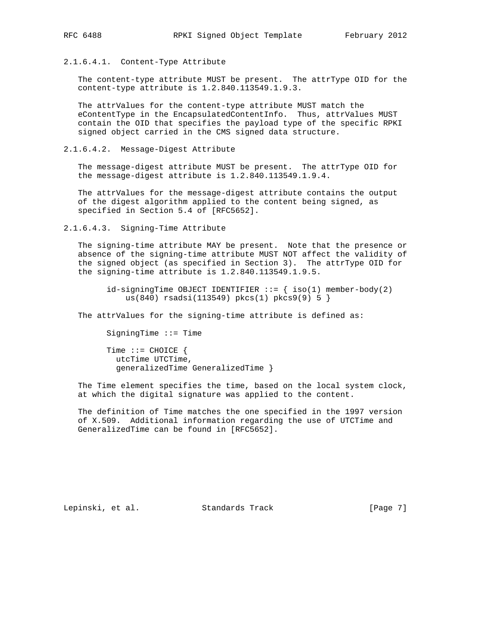### 2.1.6.4.1. Content-Type Attribute

 The content-type attribute MUST be present. The attrType OID for the content-type attribute is 1.2.840.113549.1.9.3.

 The attrValues for the content-type attribute MUST match the eContentType in the EncapsulatedContentInfo. Thus, attrValues MUST contain the OID that specifies the payload type of the specific RPKI signed object carried in the CMS signed data structure.

2.1.6.4.2. Message-Digest Attribute

 The message-digest attribute MUST be present. The attrType OID for the message-digest attribute is 1.2.840.113549.1.9.4.

 The attrValues for the message-digest attribute contains the output of the digest algorithm applied to the content being signed, as specified in Section 5.4 of [RFC5652].

2.1.6.4.3. Signing-Time Attribute

 The signing-time attribute MAY be present. Note that the presence or absence of the signing-time attribute MUST NOT affect the validity of the signed object (as specified in Section 3). The attrType OID for the signing-time attribute is 1.2.840.113549.1.9.5.

 $id$ -signingTime OBJECT IDENTIFIER ::= { iso(1) member-body(2) us(840) rsadsi(113549) pkcs(1) pkcs9(9) 5 }

The attrValues for the signing-time attribute is defined as:

SigningTime ::= Time

Time  $::=$  CHOICE { utcTime UTCTime, generalizedTime GeneralizedTime }

 The Time element specifies the time, based on the local system clock, at which the digital signature was applied to the content.

 The definition of Time matches the one specified in the 1997 version of X.509. Additional information regarding the use of UTCTime and GeneralizedTime can be found in [RFC5652].

Lepinski, et al. Standards Track [Page 7]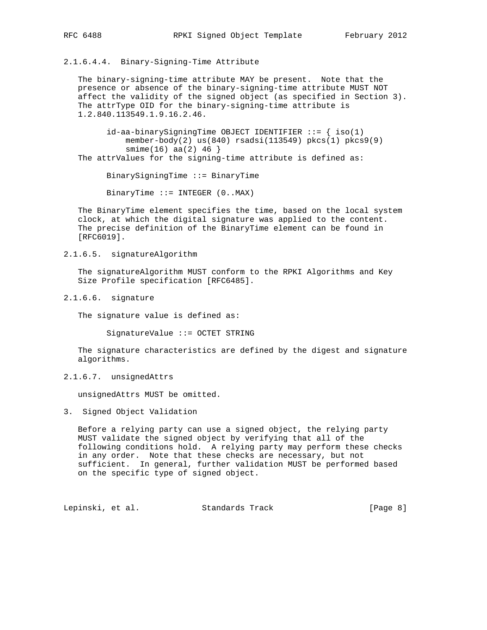# 2.1.6.4.4. Binary-Signing-Time Attribute

 The binary-signing-time attribute MAY be present. Note that the presence or absence of the binary-signing-time attribute MUST NOT affect the validity of the signed object (as specified in Section 3). The attrType OID for the binary-signing-time attribute is 1.2.840.113549.1.9.16.2.46.

 $id$ -aa-binarySigningTime OBJECT IDENTIFIER  $::=$  { iso(1) member-body(2) us(840) rsadsi(113549) pkcs(1) pkcs9(9)  $smin(e(16)$  aa $(2)$  46 } The attrValues for the signing-time attribute is defined as:

BinarySigningTime ::= BinaryTime

BinaryTime ::= INTEGER (0..MAX)

 The BinaryTime element specifies the time, based on the local system clock, at which the digital signature was applied to the content. The precise definition of the BinaryTime element can be found in [RFC6019].

2.1.6.5. signatureAlgorithm

 The signatureAlgorithm MUST conform to the RPKI Algorithms and Key Size Profile specification [RFC6485].

2.1.6.6. signature

The signature value is defined as:

SignatureValue ::= OCTET STRING

 The signature characteristics are defined by the digest and signature algorithms.

2.1.6.7. unsignedAttrs

unsignedAttrs MUST be omitted.

3. Signed Object Validation

 Before a relying party can use a signed object, the relying party MUST validate the signed object by verifying that all of the following conditions hold. A relying party may perform these checks in any order. Note that these checks are necessary, but not sufficient. In general, further validation MUST be performed based on the specific type of signed object.

Lepinski, et al. Standards Track [Page 8]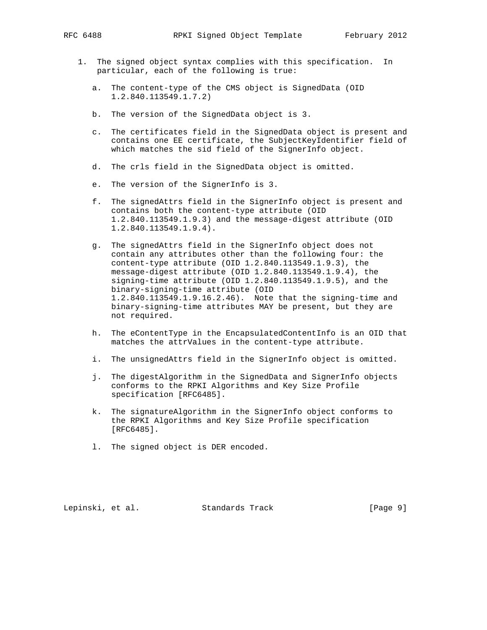- 1. The signed object syntax complies with this specification. In particular, each of the following is true:
	- a. The content-type of the CMS object is SignedData (OID 1.2.840.113549.1.7.2)
	- b. The version of the SignedData object is 3.
	- c. The certificates field in the SignedData object is present and contains one EE certificate, the SubjectKeyIdentifier field of which matches the sid field of the SignerInfo object.
	- d. The crls field in the SignedData object is omitted.
	- e. The version of the SignerInfo is 3.
	- f. The signedAttrs field in the SignerInfo object is present and contains both the content-type attribute (OID 1.2.840.113549.1.9.3) and the message-digest attribute (OID 1.2.840.113549.1.9.4).
	- g. The signedAttrs field in the SignerInfo object does not contain any attributes other than the following four: the content-type attribute (OID 1.2.840.113549.1.9.3), the message-digest attribute (OID 1.2.840.113549.1.9.4), the signing-time attribute (OID 1.2.840.113549.1.9.5), and the binary-signing-time attribute (OID 1.2.840.113549.1.9.16.2.46). Note that the signing-time and binary-signing-time attributes MAY be present, but they are not required.
	- h. The eContentType in the EncapsulatedContentInfo is an OID that matches the attrValues in the content-type attribute.
	- i. The unsignedAttrs field in the SignerInfo object is omitted.
	- j. The digestAlgorithm in the SignedData and SignerInfo objects conforms to the RPKI Algorithms and Key Size Profile specification [RFC6485].
	- k. The signatureAlgorithm in the SignerInfo object conforms to the RPKI Algorithms and Key Size Profile specification [RFC6485].
	- l. The signed object is DER encoded.

Lepinski, et al. Standards Track [Page 9]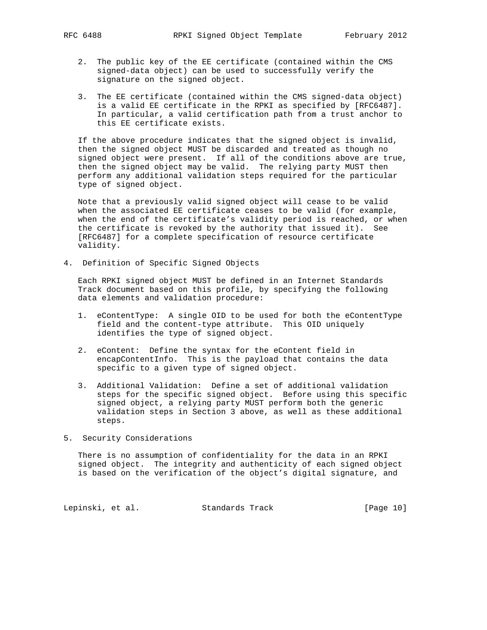- 2. The public key of the EE certificate (contained within the CMS signed-data object) can be used to successfully verify the signature on the signed object.
- 3. The EE certificate (contained within the CMS signed-data object) is a valid EE certificate in the RPKI as specified by [RFC6487]. In particular, a valid certification path from a trust anchor to this EE certificate exists.

 If the above procedure indicates that the signed object is invalid, then the signed object MUST be discarded and treated as though no signed object were present. If all of the conditions above are true, then the signed object may be valid. The relying party MUST then perform any additional validation steps required for the particular type of signed object.

 Note that a previously valid signed object will cease to be valid when the associated EE certificate ceases to be valid (for example, when the end of the certificate's validity period is reached, or when the certificate is revoked by the authority that issued it). See [RFC6487] for a complete specification of resource certificate validity.

4. Definition of Specific Signed Objects

 Each RPKI signed object MUST be defined in an Internet Standards Track document based on this profile, by specifying the following data elements and validation procedure:

- 1. eContentType: A single OID to be used for both the eContentType field and the content-type attribute. This OID uniquely identifies the type of signed object.
- 2. eContent: Define the syntax for the eContent field in encapContentInfo. This is the payload that contains the data specific to a given type of signed object.
- 3. Additional Validation: Define a set of additional validation steps for the specific signed object. Before using this specific signed object, a relying party MUST perform both the generic validation steps in Section 3 above, as well as these additional steps.
- 5. Security Considerations

 There is no assumption of confidentiality for the data in an RPKI signed object. The integrity and authenticity of each signed object is based on the verification of the object's digital signature, and

Lepinski, et al. Standards Track [Page 10]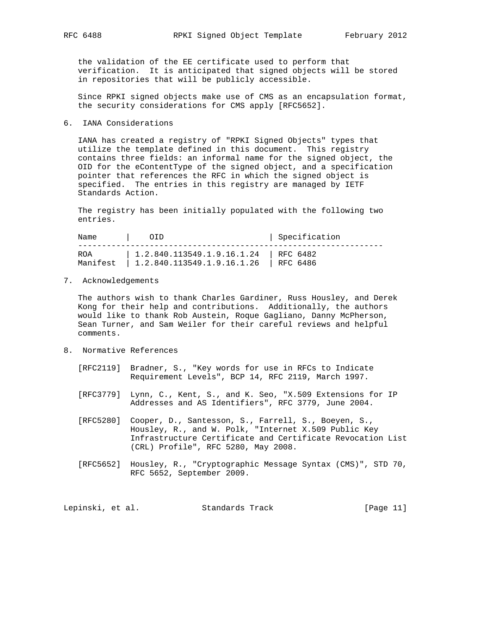the validation of the EE certificate used to perform that verification. It is anticipated that signed objects will be stored in repositories that will be publicly accessible.

 Since RPKI signed objects make use of CMS as an encapsulation format, the security considerations for CMS apply [RFC5652].

### 6. IANA Considerations

 IANA has created a registry of "RPKI Signed Objects" types that utilize the template defined in this document. This registry contains three fields: an informal name for the signed object, the OID for the eContentType of the signed object, and a specification pointer that references the RFC in which the signed object is specified. The entries in this registry are managed by IETF Standards Action.

 The registry has been initially populated with the following two entries.

Name | OID | Specification ---------------------------------------------------------------- ROA | 1.2.840.113549.1.9.16.1.24 | RFC 6482 Manifest | 1.2.840.113549.1.9.16.1.26 | RFC 6486

7. Acknowledgements

 The authors wish to thank Charles Gardiner, Russ Housley, and Derek Kong for their help and contributions. Additionally, the authors would like to thank Rob Austein, Roque Gagliano, Danny McPherson, Sean Turner, and Sam Weiler for their careful reviews and helpful comments.

- 8. Normative References
	- [RFC2119] Bradner, S., "Key words for use in RFCs to Indicate Requirement Levels", BCP 14, RFC 2119, March 1997.
	- [RFC3779] Lynn, C., Kent, S., and K. Seo, "X.509 Extensions for IP Addresses and AS Identifiers", RFC 3779, June 2004.
	- [RFC5280] Cooper, D., Santesson, S., Farrell, S., Boeyen, S., Housley, R., and W. Polk, "Internet X.509 Public Key Infrastructure Certificate and Certificate Revocation List (CRL) Profile", RFC 5280, May 2008.
	- [RFC5652] Housley, R., "Cryptographic Message Syntax (CMS)", STD 70, RFC 5652, September 2009.

Lepinski, et al. Standards Track [Page 11]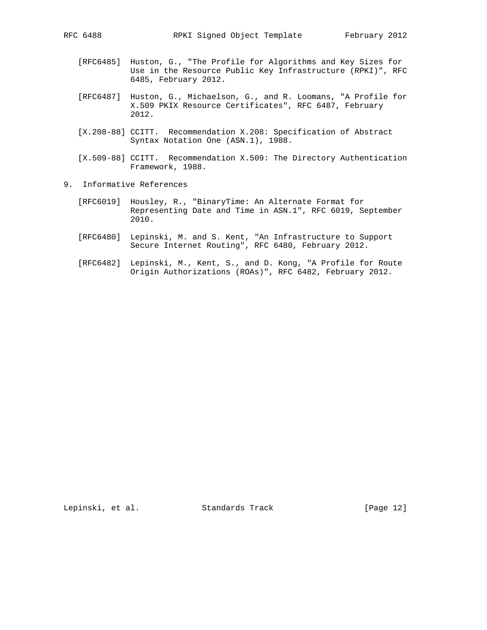- [RFC6485] Huston, G., "The Profile for Algorithms and Key Sizes for Use in the Resource Public Key Infrastructure (RPKI)", RFC 6485, February 2012.
- [RFC6487] Huston, G., Michaelson, G., and R. Loomans, "A Profile for X.509 PKIX Resource Certificates", RFC 6487, February 2012.
- [X.208-88] CCITT. Recommendation X.208: Specification of Abstract Syntax Notation One (ASN.1), 1988.
- [X.509-88] CCITT. Recommendation X.509: The Directory Authentication Framework, 1988.
- 9. Informative References
	- [RFC6019] Housley, R., "BinaryTime: An Alternate Format for Representing Date and Time in ASN.1", RFC 6019, September 2010.
	- [RFC6480] Lepinski, M. and S. Kent, "An Infrastructure to Support Secure Internet Routing", RFC 6480, February 2012.
	- [RFC6482] Lepinski, M., Kent, S., and D. Kong, "A Profile for Route Origin Authorizations (ROAs)", RFC 6482, February 2012.

Lepinski, et al. Standards Track [Page 12]